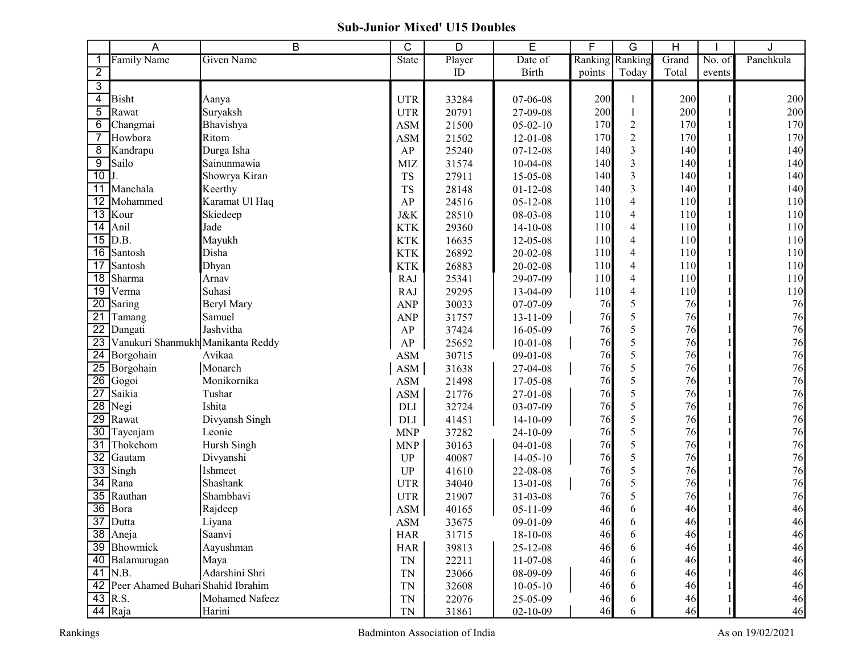## Sub-Junior Mixed' U15 Doubles

|                         | A                                    | B                 | C              | D      | E              | F               | G                | H     |        |           |
|-------------------------|--------------------------------------|-------------------|----------------|--------|----------------|-----------------|------------------|-------|--------|-----------|
| 1                       | <b>Family Name</b>                   | <b>Given Name</b> | State          | Player | Date of        | Ranking Ranking |                  | Grand | No. of | Panchkula |
| $\overline{2}$          |                                      |                   |                | ID     | <b>Birth</b>   | points          | Today            | Total | events |           |
| $\overline{3}$          |                                      |                   |                |        |                |                 |                  |       |        |           |
| $\overline{\mathbf{4}}$ | <b>Bisht</b>                         | Aanya             | <b>UTR</b>     | 33284  | 07-06-08       | 200             | 1                | 200   |        | 200       |
| 5                       | Rawat                                | Suryaksh          | <b>UTR</b>     | 20791  | 27-09-08       | 200             | 1                | 200   |        | 200       |
| 6                       | Changmai                             | Bhavishya         | <b>ASM</b>     | 21500  | $05-02-10$     | 170             | $\boldsymbol{2}$ | 170   |        | 170       |
| $\overline{7}$          | Howbora                              | Ritom             | <b>ASM</b>     | 21502  | $12 - 01 - 08$ | 170             | $\overline{2}$   | 170   |        | 170       |
| 8                       | Kandrapu                             | Durga Isha        | AP             | 25240  | $07 - 12 - 08$ | 140             | $\overline{3}$   | 140   |        | 140       |
| 9                       | Sailo                                | Sainunmawia       | <b>MIZ</b>     | 31574  | $10-04-08$     | 140             | $\overline{3}$   | 140   |        | 140       |
| 10                      | J.                                   | Showrya Kiran     | <b>TS</b>      | 27911  | 15-05-08       | 140             | $\overline{3}$   | 140   |        | 140       |
| 11                      | Manchala                             | Keerthy           | <b>TS</b>      | 28148  | $01 - 12 - 08$ | 140             | $\overline{3}$   | 140   |        | 140       |
| 12                      | Mohammed                             | Karamat Ul Haq    | AP             | 24516  | $05 - 12 - 08$ | 110             | $\overline{4}$   | 110   |        | 110       |
| $\overline{13}$         | Kour                                 | Skiedeep          | J&K            | 28510  | 08-03-08       | 110             | $\overline{4}$   | 110   |        | 110       |
| $\overline{14}$         | Anil                                 | Jade              | <b>KTK</b>     | 29360  | $14-10-08$     | 110             | $\overline{4}$   | 110   |        | 110       |
|                         | $15$ D.B.                            | Mayukh            | <b>KTK</b>     | 16635  | 12-05-08       | 110             | $\overline{4}$   | 110   |        | 110       |
| 16                      | Santosh                              | Disha             | <b>KTK</b>     | 26892  | 20-02-08       | 110             | $\overline{4}$   | 110   |        | 110       |
| 17                      | Santosh                              | Dhyan             | <b>KTK</b>     | 26883  | $20 - 02 - 08$ | 110             | $\overline{4}$   | 110   |        | 110       |
| $\overline{18}$         | Sharma                               | Arnav             | <b>RAJ</b>     | 25341  | 29-07-09       | 110             | $\overline{4}$   | 110   |        | 110       |
| $\overline{19}$         | Verma                                | Suhasi            | <b>RAJ</b>     | 29295  | 13-04-09       | 110             | $\overline{4}$   | 110   |        | 110       |
| $\overline{20}$         | Saring                               | <b>Beryl Mary</b> | <b>ANP</b>     | 30033  | 07-07-09       | 76              | 5                | 76    |        | 76        |
| $\overline{21}$         | Tamang                               | Samuel            | <b>ANP</b>     | 31757  | $13 - 11 - 09$ | 76              | 5                | 76    |        | 76        |
| $\overline{22}$         | Dangati                              | Jashvitha         | AP             | 37424  | 16-05-09       | 76              | 5                | 76    |        | 76        |
| $\overline{23}$         | Vanukuri Shanmukh Manikanta Reddy    |                   | ${\sf AP}$     | 25652  | $10-01-08$     | 76              | 5                | 76    |        | 76        |
| $\overline{24}$         | Borgohain                            | Avikaa            | ASM            | 30715  | $09-01-08$     | 76              | 5                | 76    |        | 76        |
| 25                      | Borgohain                            | Monarch           | <b>ASM</b>     | 31638  | 27-04-08       | 76              | 5                | 76    |        | 76        |
| $\overline{26}$         | Gogoi                                | Monikornika       | $\mathbf{ASM}$ | 21498  | 17-05-08       | 76              | 5                | 76    |        | $76\,$    |
| $\overline{27}$         | Saikia                               | Tushar            | ASM            | 21776  | 27-01-08       | 76              | 5                | 76    |        | 76        |
| $\overline{28}$         | Negi                                 | Ishita            | $\rm{DLI}$     | 32724  | 03-07-09       | 76              | 5                | 76    |        | 76        |
| $\overline{29}$         | Rawat                                | Divyansh Singh    | DLI            | 41451  | $14-10-09$     | 76              | 5                | 76    |        | 76        |
| $\overline{30}$         | Tayenjam                             | Leonie            | <b>MNP</b>     | 37282  | 24-10-09       | 76              | 5                | 76    |        | 76        |
| $\overline{31}$         | Thokchom                             | Hursh Singh       | <b>MNP</b>     | 30163  | $04-01-08$     | 76              | 5                | 76    |        | 76        |
| $\overline{32}$         | Gautam                               | Divyanshi         | UP             | 40087  | $14 - 05 - 10$ | 76              | 5                | 76    |        | $76\,$    |
| $\overline{33}$         | Singh                                | Ishmeet           | UP             | 41610  | 22-08-08       | 76              | 5                | 76    |        | 76        |
| $\overline{34}$         | Rana                                 | Shashank          | <b>UTR</b>     | 34040  | 13-01-08       | 76              | 5                | 76    |        | $76\,$    |
| 35                      | Rauthan                              | Shambhavi         | <b>UTR</b>     | 21907  | $31 - 03 - 08$ | 76              | 5                | 76    |        | $76\,$    |
| $\overline{36}$         | Bora                                 | Rajdeep           | $\mathbf{ASM}$ | 40165  | $05 - 11 - 09$ | 46              | 6                | 46    |        | 46        |
|                         | 37 Dutta                             | Liyana            | $\mathbf{ASM}$ | 33675  | 09-01-09       | 46              |                  | 46    |        | 46        |
|                         | 38 Aneja                             | Saanvi            | <b>HAR</b>     | 31715  | $18-10-08$     | 46              | 6                | 46    |        | 46        |
|                         | 39 Bhowmick                          | Aayushman         | <b>HAR</b>     | 39813  | 25-12-08       | 46              | 6                | 46    |        | 46        |
|                         | 40 Balamurugan                       | Maya              | TN             | 22211  | 11-07-08       | 46              | 6                | 46    |        | 46        |
|                         | $41$ N.B.                            | Adarshini Shri    | TN             | 23066  | 08-09-09       | 46              | 6                | 46    |        | 46        |
|                         | 42 Peer Ahamed Buhari Shahid Ibrahim |                   | <b>TN</b>      | 32608  | $10 - 05 - 10$ | 46              | 6                | 46    |        | 46        |
|                         | 43 R.S.                              | Mohamed Nafeez    | TN             | 22076  | 25-05-09       | 46              | 6                | 46    |        | 46        |
|                         | 44 Raja                              | Harini            | TN             | 31861  | $02 - 10 - 09$ | 46              | 6                | 46    |        | 46        |